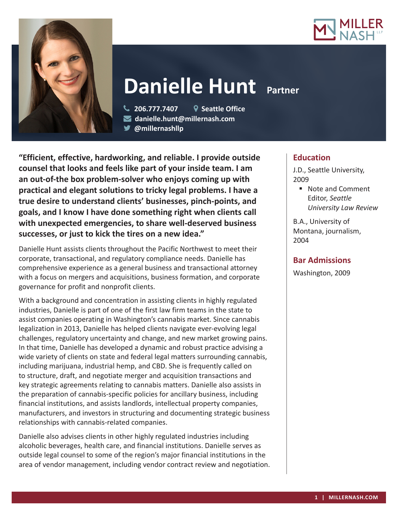



# **Danielle Hunt Partner**

 **206.777.7407 Seattle Office danielle.hunt@millernash.com** 

**@millernashllp** 

**"Efficient, effective, hardworking, and reliable. I provide outside counsel that looks and feels like part of your inside team. I am an out-of-the box problem-solver who enjoys coming up with practical and elegant solutions to tricky legal problems. I have a true desire to understand clients' businesses, pinch-points, and goals, and I know I have done something right when clients call with unexpected emergencies, to share well-deserved business successes, or just to kick the tires on a new idea."**

Danielle Hunt assists clients throughout the Pacific Northwest to meet their corporate, transactional, and regulatory compliance needs. Danielle has comprehensive experience as a general business and transactional attorney with a focus on mergers and acquisitions, business formation, and corporate governance for profit and nonprofit clients.

With a background and concentration in assisting clients in highly regulated industries, Danielle is part of one of the first law firm teams in the state to assist companies operating in Washington's cannabis market. Since cannabis legalization in 2013, Danielle has helped clients navigate ever-evolving legal challenges, regulatory uncertainty and change, and new market growing pains. In that time, Danielle has developed a dynamic and robust practice advising a wide variety of clients on state and federal legal matters surrounding cannabis, including marijuana, industrial hemp, and CBD. She is frequently called on to structure, draft, and negotiate merger and acquisition transactions and key strategic agreements relating to cannabis matters. Danielle also assists in the preparation of cannabis-specific policies for ancillary business, including financial institutions, and assists landlords, intellectual property companies, manufacturers, and investors in structuring and documenting strategic business relationships with cannabis-related companies.

Danielle also advises clients in other highly regulated industries including alcoholic beverages, health care, and financial institutions. Danielle serves as outside legal counsel to some of the region's major financial institutions in the area of vendor management, including vendor contract review and negotiation.

# **Education**

J.D., Seattle University, 2009

■ Note and Comment Editor, *Seattle University Law Review*

B.A., University of Montana, journalism, 2004

# **Bar Admissions**

Washington, 2009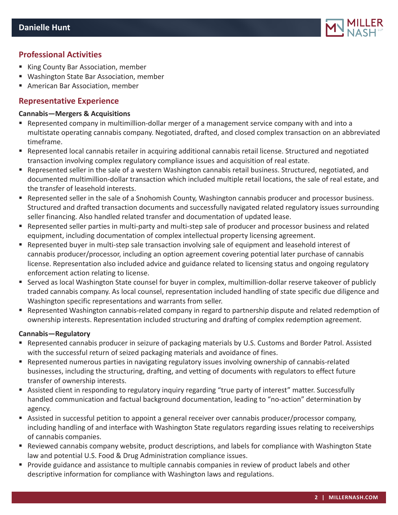

## **Professional Activities**

- King County Bar Association, member
- Washington State Bar Association, member
- American Bar Association, member

## **Representative Experience**

#### **Cannabis—Mergers & Acquisitions**

- Represented company in multimillion-dollar merger of a management service company with and into a multistate operating cannabis company. Negotiated, drafted, and closed complex transaction on an abbreviated timeframe.
- Represented local cannabis retailer in acquiring additional cannabis retail license. Structured and negotiated transaction involving complex regulatory compliance issues and acquisition of real estate.
- Represented seller in the sale of a western Washington cannabis retail business. Structured, negotiated, and documented multimillion-dollar transaction which included multiple retail locations, the sale of real estate, and the transfer of leasehold interests.
- Represented seller in the sale of a Snohomish County, Washington cannabis producer and processor business. Structured and drafted transaction documents and successfully navigated related regulatory issues surrounding seller financing. Also handled related transfer and documentation of updated lease.
- Represented seller parties in multi-party and multi-step sale of producer and processor business and related equipment, including documentation of complex intellectual property licensing agreement.
- Represented buyer in multi-step sale transaction involving sale of equipment and leasehold interest of cannabis producer/processor, including an option agreement covering potential later purchase of cannabis license. Representation also included advice and guidance related to licensing status and ongoing regulatory enforcement action relating to license.
- Served as local Washington State counsel for buyer in complex, multimillion-dollar reserve takeover of publicly traded cannabis company. As local counsel, representation included handling of state specific due diligence and Washington specific representations and warrants from seller.
- Represented Washington cannabis-related company in regard to partnership dispute and related redemption of ownership interests. Representation included structuring and drafting of complex redemption agreement.

### **Cannabis—Regulatory**

- Represented cannabis producer in seizure of packaging materials by U.S. Customs and Border Patrol. Assisted with the successful return of seized packaging materials and avoidance of fines.
- Represented numerous parties in navigating regulatory issues involving ownership of cannabis-related businesses, including the structuring, drafting, and vetting of documents with regulators to effect future transfer of ownership interests.
- Assisted client in responding to regulatory inquiry regarding "true party of interest" matter. Successfully handled communication and factual background documentation, leading to "no-action" determination by agency.
- Assisted in successful petition to appoint a general receiver over cannabis producer/processor company, including handling of and interface with Washington State regulators regarding issues relating to receiverships of cannabis companies.
- Reviewed cannabis company website, product descriptions, and labels for compliance with Washington State law and potential U.S. Food & Drug Administration compliance issues.
- **Provide guidance and assistance to multiple cannabis companies in review of product labels and other** descriptive information for compliance with Washington laws and regulations.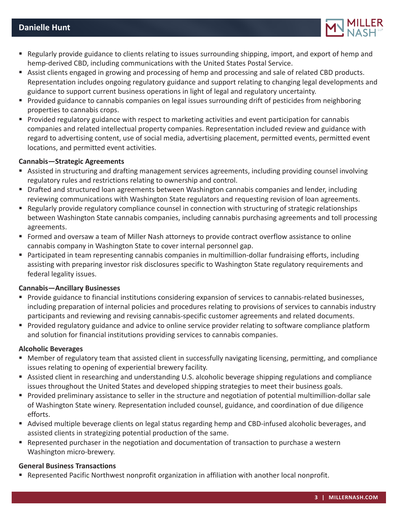

- Regularly provide guidance to clients relating to issues surrounding shipping, import, and export of hemp and hemp-derived CBD, including communications with the United States Postal Service.
- Assist clients engaged in growing and processing of hemp and processing and sale of related CBD products. Representation includes ongoing regulatory guidance and support relating to changing legal developments and guidance to support current business operations in light of legal and regulatory uncertainty.
- **Provided guidance to cannabis companies on legal issues surrounding drift of pesticides from neighboring** properties to cannabis crops.
- Provided regulatory guidance with respect to marketing activities and event participation for cannabis companies and related intellectual property companies. Representation included review and guidance with regard to advertising content, use of social media, advertising placement, permitted events, permitted event locations, and permitted event activities.

#### **Cannabis—Strategic Agreements**

- Assisted in structuring and drafting management services agreements, including providing counsel involving regulatory rules and restrictions relating to ownership and control.
- **Drafted and structured loan agreements between Washington cannabis companies and lender, including** reviewing communications with Washington State regulators and requesting revision of loan agreements.
- **•** Regularly provide regulatory compliance counsel in connection with structuring of strategic relationships between Washington State cannabis companies, including cannabis purchasing agreements and toll processing agreements.
- Formed and oversaw a team of Miller Nash attorneys to provide contract overflow assistance to online cannabis company in Washington State to cover internal personnel gap.
- Participated in team representing cannabis companies in multimillion-dollar fundraising efforts, including assisting with preparing investor risk disclosures specific to Washington State regulatory requirements and federal legality issues.

#### **Cannabis—Ancillary Businesses**

- Provide guidance to financial institutions considering expansion of services to cannabis-related businesses, including preparation of internal policies and procedures relating to provisions of services to cannabis industry participants and reviewing and revising cannabis-specific customer agreements and related documents.
- **Provided regulatory guidance and advice to online service provider relating to software compliance platform** and solution for financial institutions providing services to cannabis companies.

#### **Alcoholic Beverages**

- Member of regulatory team that assisted client in successfully navigating licensing, permitting, and compliance issues relating to opening of experiential brewery facility.
- Assisted client in researching and understanding U.S. alcoholic beverage shipping regulations and compliance issues throughout the United States and developed shipping strategies to meet their business goals.
- Provided preliminary assistance to seller in the structure and negotiation of potential multimillion-dollar sale of Washington State winery. Representation included counsel, guidance, and coordination of due diligence efforts.
- Advised multiple beverage clients on legal status regarding hemp and CBD-infused alcoholic beverages, and assisted clients in strategizing potential production of the same.
- Represented purchaser in the negotiation and documentation of transaction to purchase a western Washington micro-brewery.

#### **General Business Transactions**

**•** Represented Pacific Northwest nonprofit organization in affiliation with another local nonprofit.